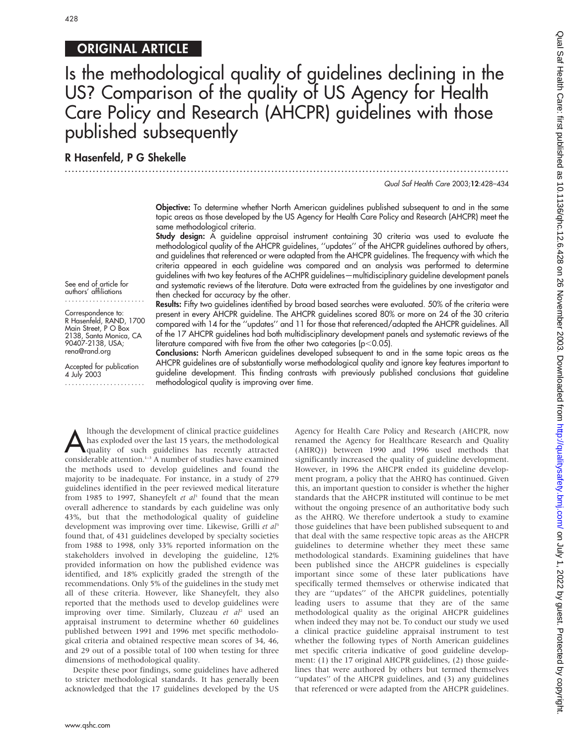# ORIGINAL ARTICLE

# Is the methodological quality of guidelines declining in the US? Comparison of the quality of US Agency for Health Care Policy and Research (AHCPR) guidelines with those published subsequently

.............................................................................................................................. .

# R Hasenfeld, P G Shekelle

Qual Saf Health Care 2003;12:428–434

Objective: To determine whether North American guidelines published subsequent to and in the same topic areas as those developed by the US Agency for Health Care Policy and Research (AHCPR) meet the same methodological criteria.

Study design: A guideline appraisal instrument containing 30 criteria was used to evaluate the methodological quality of the AHCPR guidelines, ''updates'' of the AHCPR guidelines authored by others, and guidelines that referenced or were adapted from the AHCPR guidelines. The frequency with which the criteria appeared in each guideline was compared and an analysis was performed to determine guidelines with two key features of the ACHPR guidelines—multidisciplinary guideline development panels and systematic reviews of the literature. Data were extracted from the guidelines by one investigator and then checked for accuracy by the other.

Results: Fifty two guidelines identified by broad based searches were evaluated. 50% of the criteria were present in every AHCPR guideline. The AHCPR guidelines scored 80% or more on 24 of the 30 criteria compared with 14 for the ''updates'' and 11 for those that referenced/adapted the AHCPR guidelines. All of the 17 AHCPR guidelines had both multidisciplinary development panels and systematic reviews of the literature compared with five from the other two categories (p $<$ 0.05).

Conclusions: North American guidelines developed subsequent to and in the same topic areas as the AHCPR guidelines are of substantially worse methodological quality and ignore key features important to guideline development. This finding contrasts with previously published conclusions that guideline methodological quality is improving over time.

Although the development of clinical practice guidelines<br>has exploded over the last 15 years, the methodological<br>quality of such guidelines has recently attracted<br>considerable attention  $\frac{1}{2}$  A number of studies have o has exploded over the last 15 years, the methodological quality of such guidelines has recently attracted considerable attention.1–3 A number of studies have examined the methods used to develop guidelines and found the majority to be inadequate. For instance, in a study of 279 guidelines identified in the peer reviewed medical literature from 1985 to 1997, Shaneyfelt et  $al<sup>1</sup>$  found that the mean overall adherence to standards by each guideline was only 43%, but that the methodological quality of guideline development was improving over time. Likewise, Grilli et al<sup>3</sup> found that, of 431 guidelines developed by specialty societies from 1988 to 1998, only 33% reported information on the stakeholders involved in developing the guideline, 12% provided information on how the published evidence was identified, and 18% explicitly graded the strength of the recommendations. Only 5% of the guidelines in the study met all of these criteria. However, like Shaneyfelt, they also reported that the methods used to develop guidelines were improving over time. Similarly, Cluzeau et  $a^2$  used an appraisal instrument to determine whether 60 guidelines published between 1991 and 1996 met specific methodological criteria and obtained respective mean scores of 34, 46, and 29 out of a possible total of 100 when testing for three dimensions of methodological quality.

Despite these poor findings, some guidelines have adhered to stricter methodological standards. It has generally been acknowledged that the 17 guidelines developed by the US Agency for Health Care Policy and Research (AHCPR, now renamed the Agency for Healthcare Research and Quality (AHRQ)) between 1990 and 1996 used methods that significantly increased the quality of guideline development. However, in 1996 the AHCPR ended its guideline development program, a policy that the AHRQ has continued. Given this, an important question to consider is whether the higher standards that the AHCPR instituted will continue to be met without the ongoing presence of an authoritative body such as the AHRQ. We therefore undertook a study to examine those guidelines that have been published subsequent to and that deal with the same respective topic areas as the AHCPR guidelines to determine whether they meet these same methodological standards. Examining guidelines that have been published since the AHCPR guidelines is especially important since some of these later publications have specifically termed themselves or otherwise indicated that they are ''updates'' of the AHCPR guidelines, potentially leading users to assume that they are of the same methodological quality as the original AHCPR guidelines when indeed they may not be. To conduct our study we used a clinical practice guideline appraisal instrument to test whether the following types of North American guidelines met specific criteria indicative of good guideline development: (1) the 17 original AHCPR guidelines, (2) those guidelines that were authored by others but termed themselves ''updates'' of the AHCPR guidelines, and (3) any guidelines that referenced or were adapted from the AHCPR guidelines.

See end of article for authors' affiliations .......................

Correspondence to: R Hasenfeld, RAND, 1700 Main Street, P O Box 2138, Santa Monica, CA 90407-2138, USA; rena@rand.org

Accepted for publication 4 July 2003 .......................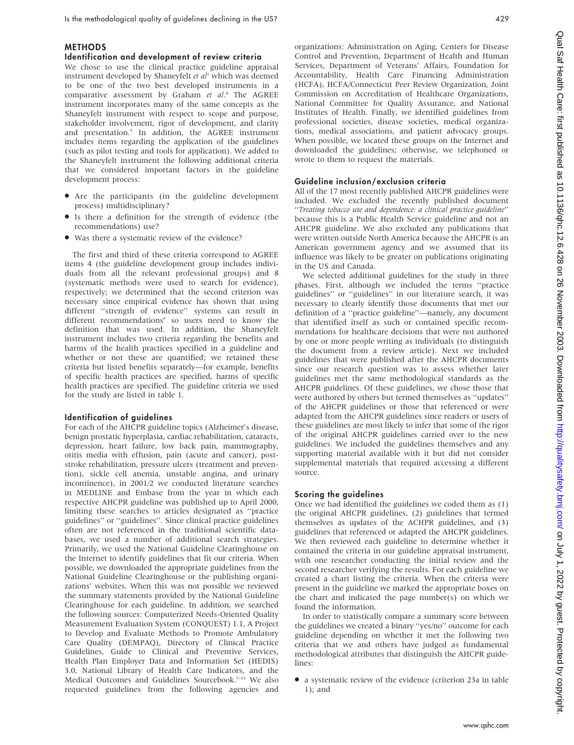#### Identification and development of review criteria

We chose to use the clinical practice guideline appraisal instrument developed by Shaneyfelt et al<sup>1</sup> which was deemed to be one of the two best developed instruments in a comparative assessment by Graham et al.<sup>4</sup> The AGREE instrument incorporates many of the same concepts as the Shaneyfelt instrument with respect to scope and purpose, stakeholder involvement, rigor of development, and clarity and presentation.<sup>5</sup> In addition, the AGREE instrument includes items regarding the application of the guidelines (such as pilot testing and tools for application). We added to the Shaneyfelt instrument the following additional criteria that we considered important factors in the guideline development process:

- N Are the participants (in the guideline development process) multidisciplinary?
- N Is there a definition for the strength of evidence (the recommendations) use?
- Was there a systematic review of the evidence?

The first and third of these criteria correspond to AGREE items 4 (the guideline development group includes individuals from all the relevant professional groups) and 8 (systematic methods were used to search for evidence), respectively; we determined that the second criterion was necessary since empirical evidence has shown that using different ''strength of evidence'' systems can result in different recommendations<sup>6</sup> so users need to know the definition that was used. In addition, the Shaneyfelt instrument includes two criteria regarding the benefits and harms of the health practices specified in a guideline and whether or not these are quantified; we retained these criteria but listed benefits separately—for example, benefits of specific health practices are specified, harms of specific health practices are specified. The guideline criteria we used for the study are listed in table 1.

### Identification of guidelines

For each of the AHCPR guideline topics (Alzheimer's disease, benign prostatic hyperplasia, cardiac rehabilitation, cataracts, depression, heart failure, low back pain, mammography, otitis media with effusion, pain (acute and cancer), poststroke rehabilitation, pressure ulcers (treatment and prevention), sickle cell anemia, unstable angina, and urinary incontinence), in 2001/2 we conducted literature searches in MEDLINE and Embase from the year in which each respective AHCPR guideline was published up to April 2000, limiting these searches to articles designated as ''practice guidelines'' or ''guidelines''. Since clinical practice guidelines often are not referenced in the traditional scientific databases, we used a number of additional search strategies. Primarily, we used the National Guideline Clearinghouse on the Internet to identify guidelines that fit our criteria. When possible, we downloaded the appropriate guidelines from the National Guideline Clearinghouse or the publishing organizations' websites. When this was not possible we reviewed the summary statements provided by the National Guideline Clearinghouse for each guideline. In addition, we searched the following sources: Computerized Needs-Oriented Quality Measurement Evaluation System (CONQUEST) 1.1, A Project to Develop and Evaluate Methods to Promote Ambulatory Care Quality (DEMPAQ), Directory of Clinical Practice Guidelines, Guide to Clinical and Preventive Services, Health Plan Employer Data and Information Set (HEDIS) 3.0, National Library of Health Care Indicators, and the Medical Outcomes and Guidelines Sourcebook.7–13 We also requested guidelines from the following agencies and organizations: Administration on Aging, Centers for Disease Control and Prevention, Department of Health and Human Services, Department of Veterans' Affairs, Foundation for Accountability, Health Care Financing Administration (HCFA), HCFA/Connecticut Peer Review Organization, Joint Commission on Accreditation of Healthcare Organizations, National Committee for Quality Assurance, and National Institutes of Health. Finally, we identified guidelines from professional societies, disease societies, medical organizations, medical associations, and patient advocacy groups. When possible, we located these groups on the Internet and downloaded the guidelines; otherwise, we telephoned or wrote to them to request the materials.

### Guideline inclusion/exclusion criteria

All of the 17 most recently published AHCPR guidelines were included. We excluded the recently published document ''Treating tobacco use and dependence: a clinical practice guideline'' because this is a Public Health Service guideline and not an AHCPR guideline. We also excluded any publications that were written outside North America because the AHCPR is an American government agency and we assumed that its influence was likely to be greater on publications originating in the US and Canada.

We selected additional guidelines for the study in three phases. First, although we included the terms ''practice guidelines'' or ''guidelines'' in our literature search, it was necessary to clearly identify those documents that met our definition of a ''practice guideline''—namely, any document that identified itself as such or contained specific recommendations for healthcare decisions that were not authored by one or more people writing as individuals (to distinguish the document from a review article). Next we included guidelines that were published after the AHCPR documents since our research question was to assess whether later guidelines met the same methodological standards as the AHCPR guidelines. Of these guidelines, we chose those that were authored by others but termed themselves as ''updates'' of the AHCPR guidelines or those that referenced or were adapted from the AHCPR guidelines since readers or users of these guidelines are most likely to infer that some of the rigor of the original AHCPR guidelines carried over to the new guidelines. We included the guidelines themselves and any supporting material available with it but did not consider supplemental materials that required accessing a different source.

# Scoring the guidelines

Once we had identified the guidelines we coded them as (1) the original AHCPR guidelines, (2) guidelines that termed themselves as updates of the ACHPR guidelines, and (3) guidelines that referenced or adapted the AHCPR guidelines. We then reviewed each guideline to determine whether it contained the criteria in our guideline appraisal instrument, with one researcher conducting the initial review and the second researcher verifying the results. For each guideline we created a chart listing the criteria. When the criteria were present in the guideline we marked the appropriate boxes on the chart and indicated the page number(s) on which we found the information.

In order to statistically compare a summary score between the guidelines we created a binary ''yes/no'' outcome for each guideline depending on whether it met the following two criteria that we and others have judged as fundamental methodological attributes that distinguish the AHCPR guidelines:

N a systematic review of the evidence (criterion 23a in table 1); and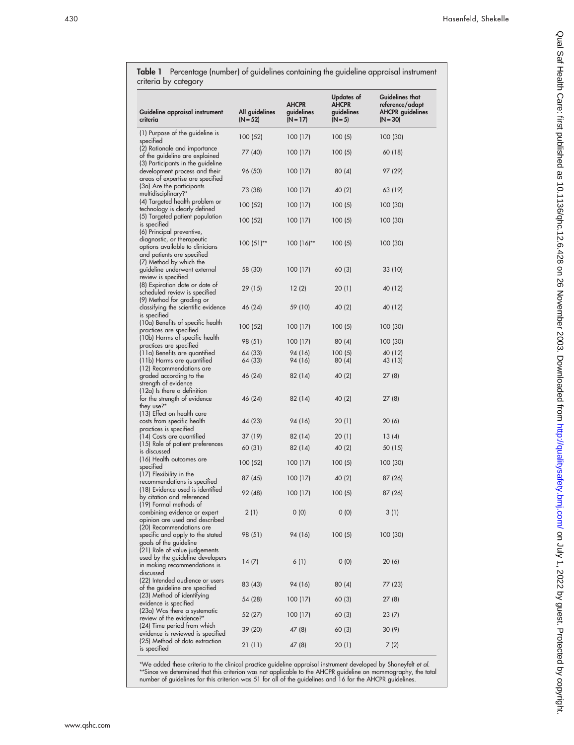| Guideline appraisal instrument<br>criteria                                                                               | All guidelines<br>$(N = 52)$ | <b>AHCPR</b><br>guidelines<br>$(N = 17)$ | Updates of<br><b>AHCPR</b><br>guidelines<br>$(N = 5)$ | Guidelines that<br>reference/adapt<br><b>AHCPR</b> guidelines<br>$(N = 30)$ |
|--------------------------------------------------------------------------------------------------------------------------|------------------------------|------------------------------------------|-------------------------------------------------------|-----------------------------------------------------------------------------|
| (1) Purpose of the guideline is<br>specitied                                                                             | 100 (52)                     | 100(17)                                  | 100(5)                                                | 100(30)                                                                     |
| (2) Rationale and importance<br>of the guideline are explained                                                           | 77 (40)                      | 100(17)                                  | 100(5)                                                | 60 (18)                                                                     |
| (3) Participants in the guideline<br>development process and their<br>areas of expertise are specified                   | 96 (50)                      | 100(17)                                  | 80(4)                                                 | 97 (29)                                                                     |
| (3a) Are the participants<br>multidisciplinary?*                                                                         | 73 (38)                      | 100(17)                                  | 40 (2)                                                | 63 (19)                                                                     |
| (4) Targeted health problem or<br>technology is clearly defined                                                          | 100 (52)                     | 100(17)                                  | 100(5)                                                | 100(30)                                                                     |
| (5) Targeted patient population<br>is specified                                                                          | 100 (52)                     | 100(17)                                  | 100(5)                                                | 100 (30)                                                                    |
| (6) Principal preventive,<br>diagnostic, or therapeutic<br>options available to clinicians<br>and patients are specitied | $100(51)$ **                 | $100(16)$ <sup>**</sup>                  | 100(5)                                                | 100(30)                                                                     |
| (7) Method by which the<br>guideline underwent external<br>review is specified                                           | 58 (30)                      | 100 (17)                                 | 60 (3)                                                | 33 (10)                                                                     |
| (8) Expiration date or date of<br>scheduled review is specified                                                          | 29 (15)                      | 12(2)                                    | 20(1)                                                 | 40 (12)                                                                     |
| (9) Method for grading or<br>classifying the scientific evidence<br>is specified                                         | 46 (24)                      | 59 (10)                                  | 40 (2)                                                | 40 (12)                                                                     |
| (10a) Benefits of specific health<br>practices are specified                                                             | 100 (52)                     | 100 (17)                                 | 100(5)                                                | 100 (30)                                                                    |
| (10b) Harms of specific health<br>practices are specified                                                                | 98 (51)                      | 100(17)                                  | 80(4)                                                 | 100 (30)                                                                    |
| (11a) Benefits are quantified<br>(11b) Harms are quantified                                                              | 64 (33)<br>64 (33)           | 94 (16)<br>94 (16)                       | 100(5)<br>80 (4)                                      | 40 (12)<br>43 (13)                                                          |
| (12) Recommendations are<br>graded according to the<br>strength of evidence                                              | 46 (24)                      | 82 (14)                                  | 40 (2)                                                | 27 (8)                                                                      |
| (12a) Is there a definition<br>for the strength of evidence<br>they use?*                                                | 46 (24)                      | 82 (14)                                  | 40 (2)                                                | 27 (8)                                                                      |
| (13) Effect on health care<br>costs from specific health<br>practices is specified                                       | 44 (23)                      | 94 (16)                                  | 20(1)                                                 | 20(6)                                                                       |
| (14) Costs are quantitied<br>(15) Role of patient preferences                                                            | 37 (19)                      | 82 (14)                                  | 20(1)                                                 | 13(4)                                                                       |
| is discussed                                                                                                             | 60 (31)                      | 82 (14)                                  | 40 (2)                                                | 50 (15)                                                                     |
| (16) Health outcomes are<br>specified                                                                                    | 100 (52)                     | 100 (17)                                 | 100(5)                                                | 100 (30)                                                                    |
| (17) Flexibility in the<br>recommendations is specified                                                                  | 87 (45)                      | 100(17)                                  | 40 (2)                                                | 87 (26)                                                                     |
| (18) Evidence used is identified<br>by citation and referenced                                                           | 92 (48)                      | 100(17)                                  | 100(5)                                                | 87 (26)                                                                     |
| (19) Formal methods of<br>combining evidence or expert<br>opinion are used and described                                 | 2(1)                         | 0(0)                                     | O(0)                                                  | 3(1)                                                                        |
| (20) Recommendations are<br>specific and apply to the stated<br>goals of the guideline                                   | 98 (51)                      | 94 (16)                                  | 100(5)                                                | 100 (30)                                                                    |
| (21) Role of value judgements<br>used by the guideline developers<br>in making recommendations is<br>discussed           | 14 (7)                       | 6(1)                                     | 0(0)                                                  | 20(6)                                                                       |
| (22) Intended audience or users<br>of the guideline are specified                                                        | 83 (43)                      | 94 (16)                                  | 80(4)                                                 | 77 (23)                                                                     |
| (23) Method of identifying<br>evidence is specified                                                                      | 54 (28)                      | 100(17)                                  | 60(3)                                                 | 27 (8)                                                                      |
| (23a) Was there a systematic<br>review of the evidence?*                                                                 | 52 (27)                      | 100 (17)                                 | 60 (3)                                                | 23(7)                                                                       |
| (24) Time period from which<br>evidence is reviewed is specified                                                         | 39 (20)                      | 47 (8)                                   | 60 (3)                                                | 30 (9)                                                                      |
| (25) Method of data extraction<br>is specified                                                                           | 21 (11)                      | 47 (8)                                   | 20(1)                                                 | 7(2)                                                                        |

\*We added these criteria to the clinical practice guideline appraisal instrument developed by Shaneyfelt et al. \*\*Since we determined that this criterion was not applicable to the AHCPR guideline on mammography, the total number of guidelines for this criterion was 51 for all of the guidelines and 16 for the AHCPR guidelines.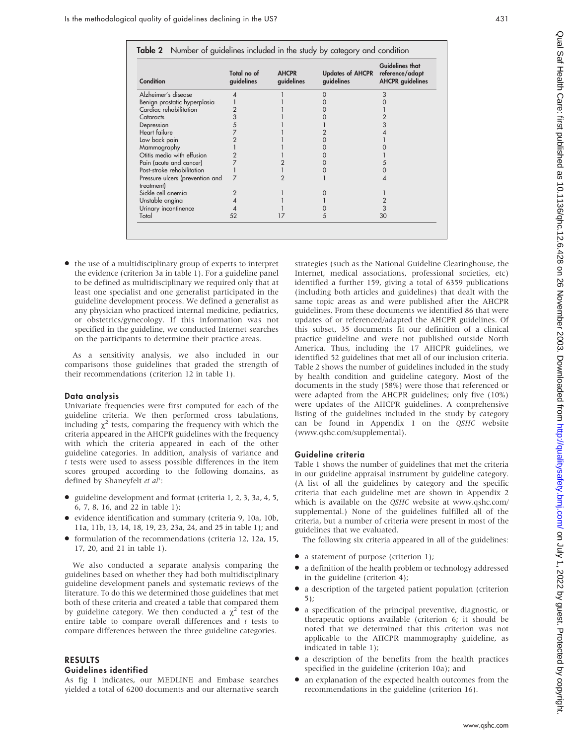| Condition                                     | Total no of<br>guidelines | <b>AHCPR</b><br>guidelines | <b>Updates of AHCPR</b><br>guidelines | Guidelines that<br>reference/adapt<br><b>AHCPR</b> guidelines |
|-----------------------------------------------|---------------------------|----------------------------|---------------------------------------|---------------------------------------------------------------|
| Alzheimer's disease                           |                           |                            |                                       |                                                               |
| Benign prostatic hyperplasia                  |                           |                            |                                       |                                                               |
| Cardiac rehabilitation                        |                           |                            |                                       |                                                               |
| Cataracts                                     | 3                         |                            |                                       |                                                               |
| Depression                                    |                           |                            |                                       |                                                               |
| <b>Heart failure</b>                          |                           |                            |                                       |                                                               |
| Low back pain                                 |                           |                            |                                       |                                                               |
| Mammography                                   |                           |                            |                                       |                                                               |
| Otitis media with effusion                    |                           |                            |                                       |                                                               |
| Pain (acute and cancer)                       |                           |                            |                                       |                                                               |
| Post-stroke rehabilitation                    |                           |                            |                                       |                                                               |
| Pressure ulcers (prevention and<br>treatment) |                           |                            |                                       |                                                               |
| Sickle cell anemia                            |                           |                            |                                       |                                                               |
| Unstable angina                               |                           |                            |                                       |                                                               |
| Urinary incontinence                          |                           |                            |                                       |                                                               |
| Total                                         | 52                        | 17                         |                                       | 30                                                            |

 $\bullet$  the use of a multidisciplinary group of experts to interpret the evidence (criterion 3a in table 1). For a guideline panel to be defined as multidisciplinary we required only that at least one specialist and one generalist participated in the guideline development process. We defined a generalist as any physician who practiced internal medicine, pediatrics, or obstetrics/gynecology. If this information was not specified in the guideline, we conducted Internet searches on the participants to determine their practice areas.

As a sensitivity analysis, we also included in our comparisons those guidelines that graded the strength of their recommendations (criterion 12 in table 1).

#### Data analysis

Univariate frequencies were first computed for each of the guideline criteria. We then performed cross tabulations, including  $\gamma^2$  tests, comparing the frequency with which the criteria appeared in the AHCPR guidelines with the frequency with which the criteria appeared in each of the other guideline categories. In addition, analysis of variance and t tests were used to assess possible differences in the item scores grouped according to the following domains, as defined by Shaneyfelt et al<sup>1</sup>:

- $\bullet$  guideline development and format (criteria 1, 2, 3, 3a, 4, 5, 6, 7, 8, 16, and 22 in table 1);
- N evidence identification and summary (criteria 9, 10a, 10b, 11a, 11b, 13, 14, 18, 19, 23, 23a, 24, and 25 in table 1); and
- formulation of the recommendations (criteria 12, 12a, 15, 17, 20, and 21 in table 1).

We also conducted a separate analysis comparing the guidelines based on whether they had both multidisciplinary guideline development panels and systematic reviews of the literature. To do this we determined those guidelines that met both of these criteria and created a table that compared them by guideline category. We then conducted a  $\chi^2$  test of the entire table to compare overall differences and t tests to compare differences between the three guideline categories.

## RESULTS Guidelines identified

As fig 1 indicates, our MEDLINE and Embase searches yielded a total of 6200 documents and our alternative search strategies (such as the National Guideline Clearinghouse, the Internet, medical associations, professional societies, etc) identified a further 159, giving a total of 6359 publications (including both articles and guidelines) that dealt with the same topic areas as and were published after the AHCPR guidelines. From these documents we identified 86 that were updates of or referenced/adapted the AHCPR guidelines. Of this subset, 35 documents fit our definition of a clinical practice guideline and were not published outside North America. Thus, including the 17 AHCPR guidelines, we identified 52 guidelines that met all of our inclusion criteria. Table 2 shows the number of guidelines included in the study by health condition and guideline category. Most of the documents in the study (58%) were those that referenced or were adapted from the AHCPR guidelines; only five (10%) were updates of the AHCPR guidelines. A comprehensive listing of the guidelines included in the study by category can be found in Appendix 1 on the QSHC website (www.qshc.com/supplemental).

#### Guideline criteria

Table 1 shows the number of guidelines that met the criteria in our guideline appraisal instrument by guideline category. (A list of all the guidelines by category and the specific criteria that each guideline met are shown in Appendix 2 which is available on the QSHC website at www.qshc.com/ supplemental.) None of the guidelines fulfilled all of the criteria, but a number of criteria were present in most of the guidelines that we evaluated.

The following six criteria appeared in all of the guidelines:

- a statement of purpose (criterion 1);
- N a definition of the health problem or technology addressed in the guideline (criterion 4);
- $\bullet$  a description of the targeted patient population (criterion 5);
- N a specification of the principal preventive, diagnostic, or therapeutic options available (criterion 6; it should be noted that we determined that this criterion was not applicable to the AHCPR mammography guideline, as indicated in table 1);
- N a description of the benefits from the health practices specified in the guideline (criterion 10a); and
- an explanation of the expected health outcomes from the recommendations in the guideline (criterion 16).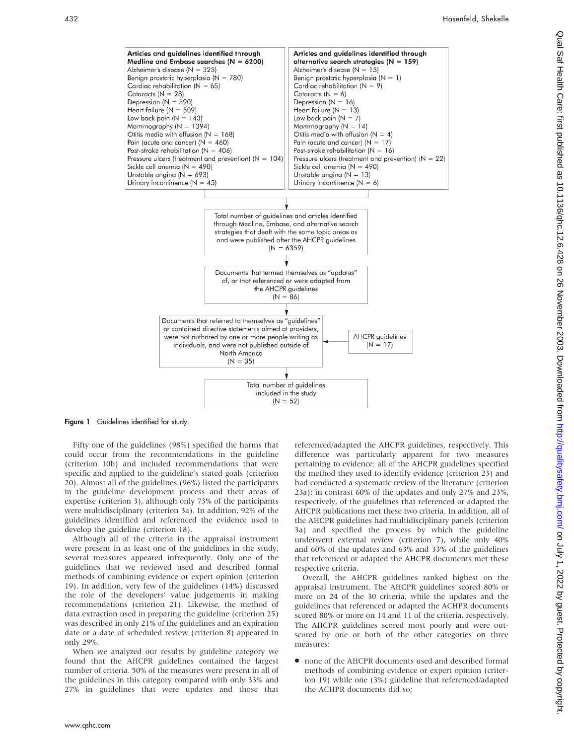

Figure 1 Guidelines identified for study.

Fifty one of the guidelines (98%) specified the harms that could occur from the recommendations in the guideline (criterion 10b) and included recommendations that were specific and applied to the guideline's stated goals (criterion 20). Almost all of the guidelines (96%) listed the participants in the guideline development process and their areas of expertise (criterion 3), although only 73% of the participants were multidisciplinary (criterion 3a). In addition, 92% of the guidelines identified and referenced the evidence used to develop the guideline (criterion 18).

Although all of the criteria in the appraisal instrument were present in at least one of the guidelines in the study, several measures appeared infrequently. Only one of the guidelines that we reviewed used and described formal methods of combining evidence or expert opinion (criterion 19). In addition, very few of the guidelines (14%) discussed the role of the developers' value judgements in making recommendations (criterion 21). Likewise, the method of data extraction used in preparing the guideline (criterion 25) was described in only 21% of the guidelines and an expiration date or a date of scheduled review (criterion 8) appeared in only 29%.

When we analyzed our results by guideline category we found that the AHCPR guidelines contained the largest number of criteria. 50% of the measures were present in all of the guidelines in this category compared with only 33% and 27% in guidelines that were updates and those that referenced/adapted the AHCPR guidelines, respectively. This difference was particularly apparent for two measures pertaining to evidence: all of the AHCPR guidelines specified the method they used to identify evidence (criterion 23) and had conducted a systematic review of the literature (criterion 23a); in contrast 60% of the updates and only 27% and 23%, respectively, of the guidelines that referenced or adapted the AHCPR publications met these two criteria. In addition, all of the AHCPR guidelines had multidisciplinary panels (criterion 3a) and specified the process by which the guideline underwent external review (criterion 7), while only 40% and 60% of the updates and 63% and 33% of the guidelines that referenced or adapted the AHCPR documents met these respective criteria.

Overall, the AHCPR guidelines ranked highest on the appraisal instrument. The AHCPR guidelines scored 80% or more on 24 of the 30 criteria, while the updates and the guidelines that referenced or adapted the ACHPR documents scored 80% or more on 14 and 11 of the criteria, respectively. The AHCPR guidelines scored most poorly and were outscored by one or both of the other categories on three measures:

• none of the AHCPR documents used and described formal methods of combining evidence or expert opinion (criterion 19) while one (3%) guideline that referenced/adapted the ACHPR documents did so;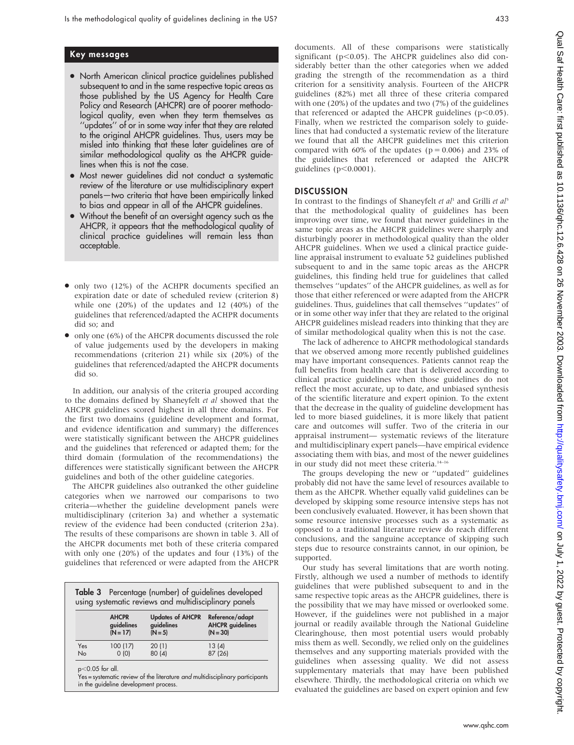# Key messages

- North American clinical practice guidelines published subsequent to and in the same respective topic areas as those published by the US Agency for Health Care Policy and Research (AHCPR) are of poorer methodological quality, even when they term themselves as ''updates'' of or in some way infer that they are related to the original AHCPR guidelines. Thus, users may be misled into thinking that these later guidelines are of similar methodological quality as the AHCPR guidelines when this is not the case.
- Most newer guidelines did not conduct a systematic review of the literature or use multidisciplinary expert panels—two criteria that have been empirically linked to bias and appear in all of the AHCPR guidelines.
- Without the benefit of an oversight agency such as the AHCPR, it appears that the methodological quality of clinical practice guidelines will remain less than acceptable.
- only two (12%) of the ACHPR documents specified an expiration date or date of scheduled review (criterion 8) while one (20%) of the updates and 12 (40%) of the guidelines that referenced/adapted the ACHPR documents did so; and
- $\bullet$  only one (6%) of the AHCPR documents discussed the role of value judgements used by the developers in making recommendations (criterion 21) while six (20%) of the guidelines that referenced/adapted the AHCPR documents did so.

In addition, our analysis of the criteria grouped according to the domains defined by Shaneyfelt et al showed that the AHCPR guidelines scored highest in all three domains. For the first two domains (guideline development and format, and evidence identification and summary) the differences were statistically significant between the AHCPR guidelines and the guidelines that referenced or adapted them; for the third domain (formulation of the recommendations) the differences were statistically significant between the AHCPR guidelines and both of the other guideline categories.

The AHCPR guidelines also outranked the other guideline categories when we narrowed our comparisons to two criteria—whether the guideline development panels were multidisciplinary (criterion 3a) and whether a systematic review of the evidence had been conducted (criterion 23a). The results of these comparisons are shown in table 3. All of the AHCPR documents met both of these criteria compared with only one (20%) of the updates and four (13%) of the guidelines that referenced or were adapted from the AHCPR

| Table 3 Percentage (number) of guidelines developed<br>using systematic reviews and multidisciplinary panels |                                        |                                                    |                                                          |  |  |
|--------------------------------------------------------------------------------------------------------------|----------------------------------------|----------------------------------------------------|----------------------------------------------------------|--|--|
|                                                                                                              | <b>AHCPR</b><br>quidelines<br>$(N=17)$ | <b>Updates of AHCPR</b><br>quidelines<br>$(N = 5)$ | Reference/adapt<br><b>AHCPR</b> guidelines<br>$(N = 30)$ |  |  |
| Yes                                                                                                          | 100(17)                                | 20(1)                                              | 13(4)                                                    |  |  |
| <b>No</b>                                                                                                    | (0)                                    | 80(4)                                              | 87 (26)                                                  |  |  |

Yes = systematic review of the literature and multidisciplinary participants in the guideline development process.

documents. All of these comparisons were statistically significant ( $p$ <0.05). The AHCPR guidelines also did considerably better than the other categories when we added grading the strength of the recommendation as a third criterion for a sensitivity analysis. Fourteen of the AHCPR guidelines (82%) met all three of these criteria compared with one (20%) of the updates and two (7%) of the guidelines that referenced or adapted the AHCPR guidelines ( $p$ <0.05). Finally, when we restricted the comparison solely to guidelines that had conducted a systematic review of the literature we found that all the AHCPR guidelines met this criterion compared with 60% of the updates ( $p = 0.006$ ) and 23% of the guidelines that referenced or adapted the AHCPR guidelines  $(p<0.0001)$ .

# **DISCUSSION**

In contrast to the findings of Shaneyfelt et  $al<sup>1</sup>$  and Grilli et  $al<sup>3</sup>$ that the methodological quality of guidelines has been improving over time, we found that newer guidelines in the same topic areas as the AHCPR guidelines were sharply and disturbingly poorer in methodological quality than the older AHCPR guidelines. When we used a clinical practice guideline appraisal instrument to evaluate 52 guidelines published subsequent to and in the same topic areas as the AHCPR guidelines, this finding held true for guidelines that called themselves ''updates'' of the AHCPR guidelines, as well as for those that either referenced or were adapted from the AHCPR guidelines. Thus, guidelines that call themselves ''updates'' of or in some other way infer that they are related to the original AHCPR guidelines mislead readers into thinking that they are of similar methodological quality when this is not the case.

The lack of adherence to AHCPR methodological standards that we observed among more recently published guidelines may have important consequences. Patients cannot reap the full benefits from health care that is delivered according to clinical practice guidelines when those guidelines do not reflect the most accurate, up to date, and unbiased synthesis of the scientific literature and expert opinion. To the extent that the decrease in the quality of guideline development has led to more biased guidelines, it is more likely that patient care and outcomes will suffer. Two of the criteria in our appraisal instrument— systematic reviews of the literature and multidisciplinary expert panels—have empirical evidence associating them with bias, and most of the newer guidelines in our study did not meet these criteria.<sup>14–16</sup>

The groups developing the new or ''updated'' guidelines probably did not have the same level of resources available to them as the AHCPR. Whether equally valid guidelines can be developed by skipping some resource intensive steps has not been conclusively evaluated. However, it has been shown that some resource intensive processes such as a systematic as opposed to a traditional literature review do reach different conclusions, and the sanguine acceptance of skipping such steps due to resource constraints cannot, in our opinion, be supported.

Our study has several limitations that are worth noting. Firstly, although we used a number of methods to identify guidelines that were published subsequent to and in the same respective topic areas as the AHCPR guidelines, there is the possibility that we may have missed or overlooked some. However, if the guidelines were not published in a major journal or readily available through the National Guideline Clearinghouse, then most potential users would probably miss them as well. Secondly, we relied only on the guidelines themselves and any supporting materials provided with the guidelines when assessing quality. We did not assess supplementary materials that may have been published elsewhere. Thirdly, the methodological criteria on which we evaluated the guidelines are based on expert opinion and few